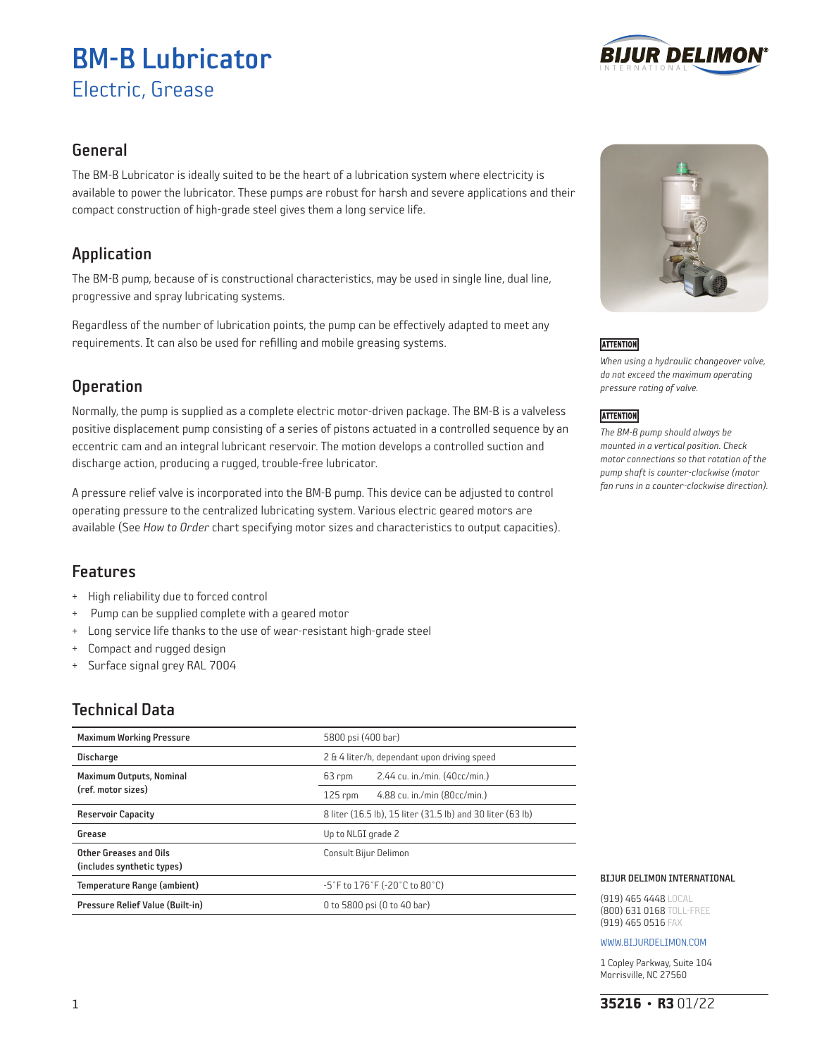# BM-B Lubricator Electric, Grease



### General

The BM-B Lubricator is ideally suited to be the heart of a lubrication system where electricity is available to power the lubricator. These pumps are robust for harsh and severe applications and their compact construction of high-grade steel gives them a long service life.

# Application

The BM-B pump, because of is constructional characteristics, may be used in single line, dual line, progressive and spray lubricating systems.

Regardless of the number of lubrication points, the pump can be effectively adapted to meet any requirements. It can also be used for refilling and mobile greasing systems.

# **Operation**

Normally, the pump is supplied as a complete electric motor-driven package. The BM-B is a valveless positive displacement pump consisting of a series of pistons actuated in a controlled sequence by an eccentric cam and an integral lubricant reservoir. The motion develops a controlled suction and discharge action, producing a rugged, trouble-free lubricator.

A pressure relief valve is incorporated into the BM-B pump. This device can be adjusted to control operating pressure to the centralized lubricating system. Various electric geared motors are available (See *How to Order* chart specifying motor sizes and characteristics to output capacities).

### Features

- + High reliability due to forced control
- + Pump can be supplied complete with a geared motor
- + Long service life thanks to the use of wear-resistant high-grade steel
- + Compact and rugged design
- + Surface signal grey RAL 7004

# Technical Data

| <b>Maximum Working Pressure</b>                       | 5800 psi (400 bar)                                         |  |  |
|-------------------------------------------------------|------------------------------------------------------------|--|--|
| <b>Discharge</b>                                      | 2 & 4 liter/h, dependant upon driving speed                |  |  |
| <b>Maximum Outputs, Nominal</b><br>(ref. motor sizes) | 2.44 cu. in./min. (40cc/min.)<br>63 rpm                    |  |  |
|                                                       | 4.88 cu. in./min (80cc/min.)<br>$125$ rpm                  |  |  |
| <b>Reservoir Capacity</b>                             | 8 liter (16.5 lb), 15 liter (31.5 lb) and 30 liter (63 lb) |  |  |
| Grease                                                | Up to NLGI grade 2                                         |  |  |
| Other Greases and Oils                                | Consult Bijur Delimon                                      |  |  |
| (includes synthetic types)                            |                                                            |  |  |
| Temperature Range (ambient)                           | $-5°$ F to 176 $°$ F (-20 $°$ C to 80 $°$ C)               |  |  |
| Pressure Relief Value (Built-in)                      | 0 to 5800 psi (0 to 40 bar)                                |  |  |



### **ATTENTION**

*When using a hydraulic changeover valve, do not exceed the maximum operating pressure rating of valve.* 

### **ATTENTION**

*The BM-B pump should always be mounted in a vertical position. Check motor connections so that rotation of the pump shaft is counter-clockwise (motor fan runs in a counter-clockwise direction).*

#### BIJUR DELIMON INTERNATIONAL

(919) 465 4448 LOCAL (800) 631 0168 TOLL-FREE (919) 465 0516 FAX

#### WWW.BIJURDELIMON.COM

1 Copley Parkway, Suite 104 Morrisville, NC 27560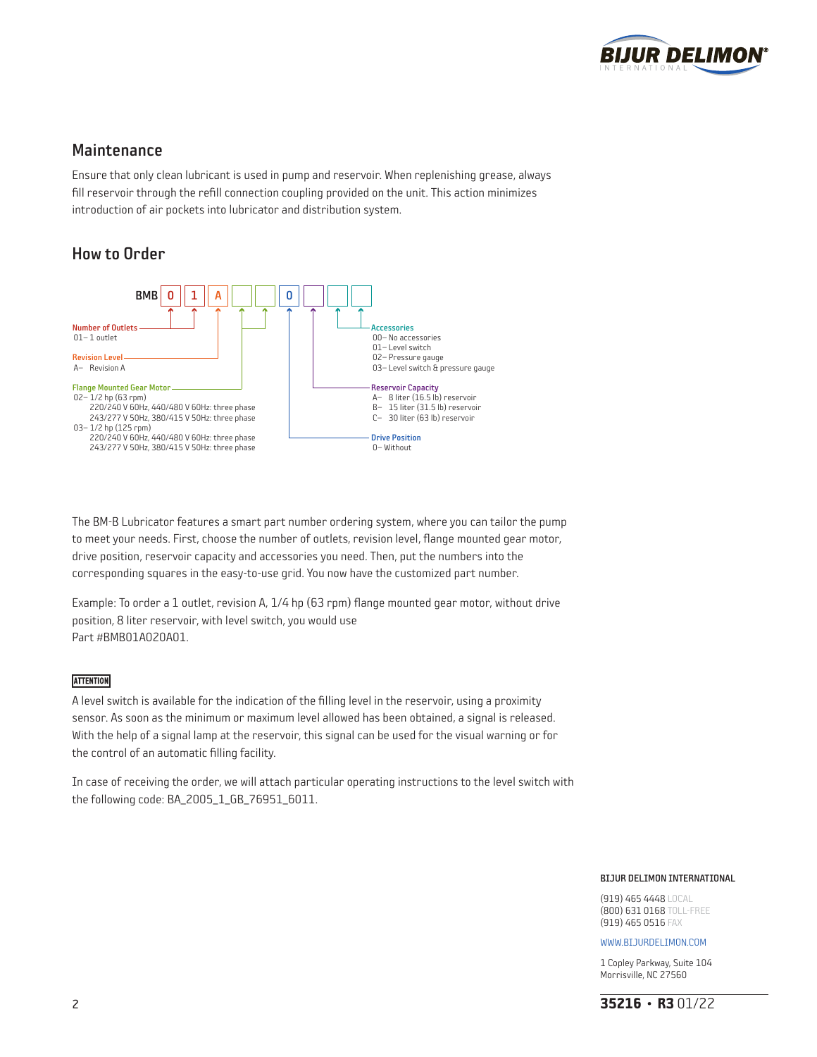

### Maintenance

Ensure that only clean lubricant is used in pump and reservoir. When replenishing grease, always fill reservoir through the refill connection coupling provided on the unit. This action minimizes introduction of air pockets into lubricator and distribution system.

### How to Order



The BM-B Lubricator features a smart part number ordering system, where you can tailor the pump to meet your needs. First, choose the number of outlets, revision level, flange mounted gear motor, drive position, reservoir capacity and accessories you need. Then, put the numbers into the corresponding squares in the easy-to-use grid. You now have the customized part number.

Example: To order a 1 outlet, revision A, 1/4 hp (63 rpm) flange mounted gear motor, without drive position, 8 liter reservoir, with level switch, you would use Part #BMB01A020A01.

#### **ATTENTION**

A level switch is available for the indication of the filling level in the reservoir, using a proximity sensor. As soon as the minimum or maximum level allowed has been obtained, a signal is released. With the help of a signal lamp at the reservoir, this signal can be used for the visual warning or for the control of an automatic filling facility.

In case of receiving the order, we will attach particular operating instructions to the level switch with the following code: BA\_2005\_1\_GB\_76951\_6011.

#### BIJUR DELIMON INTERNATIONAL

(919) 465 4448 LOCAL (800) 631 0168 TOLL-FREE (919) 465 0516 FAX

#### WWW.BIJURDELIMON.COM

1 Copley Parkway, Suite 104 Morrisville, NC 27560